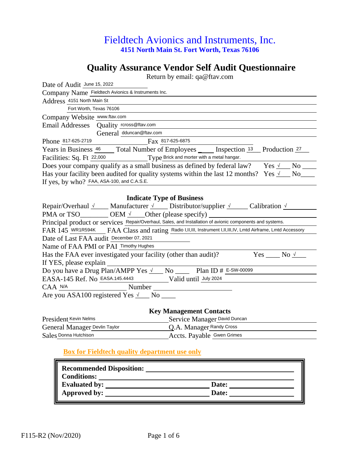## Fieldtech Avionics and Instruments, Inc. **4151 North Main St. Fort Worth, Texas 76106**

# **Quality Assurance Vendor Self Audit Questionnaire**

Return by email: qa@ftav.com

| Date of Audit June 15, 2022                                                                               |                                                                                                                  |
|-----------------------------------------------------------------------------------------------------------|------------------------------------------------------------------------------------------------------------------|
| Company Name Fieldtech Avionics & Instruments Inc.                                                        |                                                                                                                  |
| Address 4151 North Main St                                                                                |                                                                                                                  |
| Fort Worth, Texas 76106                                                                                   |                                                                                                                  |
| Company Website www.ftav.com                                                                              |                                                                                                                  |
| Email Addresses Quality rcross@ftav.com                                                                   |                                                                                                                  |
| General dduncan@ftav.com                                                                                  |                                                                                                                  |
| Phone 817-625-2719<br>Fax 817-625-6875                                                                    |                                                                                                                  |
|                                                                                                           | Years in Business 46 Total Number of Employees ____ Inspection 13 Production 27                                  |
| Facilities: Sq. Ft 22,000 Type Brick and morter with a metal hangar.                                      |                                                                                                                  |
|                                                                                                           | Does your company qualify as a small business as defined by federal law? Yes $\sqrt{ }$ No ____                  |
|                                                                                                           | Has your facility been audited for quality systems within the last 12 months? Yes $\sqrt{ }$ No $\frac{ }{ }$    |
| If yes, by who? FAA, ASA-100, and C.A.S.E.                                                                |                                                                                                                  |
|                                                                                                           |                                                                                                                  |
| <b>Indicate Type of Business</b>                                                                          |                                                                                                                  |
|                                                                                                           | Repair/Overhaul <u>V</u> Manufacturer <u>V</u> Distributor/supplier <u>V</u> Calibration V                       |
|                                                                                                           |                                                                                                                  |
| Principal product or services Repair/Overhaul, Sales, and Installation of avionic components and systems. |                                                                                                                  |
|                                                                                                           | FAR 145 WR1R594K FAA Class and rating Radio I, II, III, Instrument I, II, III, IV, Lmtd Airframe, Lmtd Accessory |
| Date of Last FAA audit December 07, 2021                                                                  |                                                                                                                  |
| Name of FAA PMI or PAI Timothy Hughes                                                                     |                                                                                                                  |
| Has the FAA ever investigated your facility (other than audit)?                                           | $Yes \_ No \sqrt{ }$                                                                                             |
| If YES, please explain                                                                                    |                                                                                                                  |
| Do you have a Drug Plan/AMPP Yes $\sqrt{ }$ No ______ Plan ID # E-SW-00099                                |                                                                                                                  |
| EASA-145 Ref. No EASA.145.4443 Valid until July 2024                                                      |                                                                                                                  |
| CAA N/A                                                                                                   |                                                                                                                  |
| Are you ASA100 registered Yes $\sqrt{ }$ No ____                                                          |                                                                                                                  |
|                                                                                                           |                                                                                                                  |
|                                                                                                           | <b>Key Management Contacts</b>                                                                                   |
| President Kevin Nelms                                                                                     | Service Manager David Duncan                                                                                     |
| General Manager Devlin Taylor                                                                             | Q.A. Manager Randy Cross                                                                                         |
| Sales Donna Hutchison                                                                                     | Accts. Payable Gwen Grimes                                                                                       |

#### **Box for Fieldtech quality department use only**

| <b>Recommended Disposition:</b><br><b>Conditions:</b> |       |
|-------------------------------------------------------|-------|
| <b>Evaluated by:</b>                                  | Date: |
| Approved by:                                          | Date: |
|                                                       |       |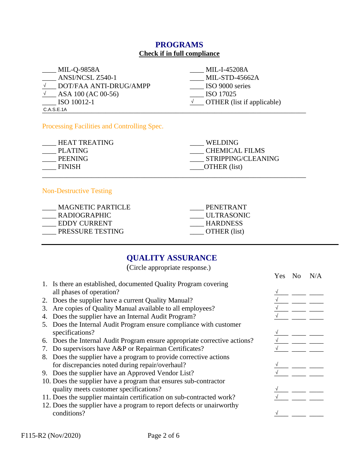### **PROGRAMS Check if in full compliance**

| $\underline{\hspace{1cm}}$ MIL-Q-9858A          | MIL-I-45208A                          |
|-------------------------------------------------|---------------------------------------|
| ANSI/NCSL Z540-1                                | <b>MIL-STD-45662A</b>                 |
| V DOT/FAA ANTI-DRUG/AMPP                        | ISO 9000 series                       |
| $\sqrt{}$ ASA 100 (AC 00-56)                    | ISO 17025                             |
| $\frac{\text{ISO }10012-1}{\text{ISO }10012-1}$ | $\sqrt{ }$ OTHER (list if applicable) |
| C.A.S.E.1A                                      |                                       |

Processing Facilities and Controlling Spec.

| <b>HEAT TREATING</b> | <b>WELDING</b>        |
|----------------------|-----------------------|
| PLATING              | <b>CHEMICAL FILMS</b> |
| PEENING              | STRIPPING/CLEANING    |
| <b>FINISH</b>        | _____OTHER (list)     |
|                      |                       |

#### Non-Destructive Testing

| <b>MAGNETIC PARTICLE</b> | PENETRANT         |
|--------------------------|-------------------|
| <b>RADIOGRAPHIC</b>      | <b>ULTRASONIC</b> |
| <b>EDDY CURRENT</b>      | <b>HARDNESS</b>   |
| PRESSURE TESTING         | OTHER (list)      |

### **QUALITY ASSURANCE**

|    | (Circle appropriate response.)                                            |      |                |     |
|----|---------------------------------------------------------------------------|------|----------------|-----|
|    |                                                                           | Yes. | N <sub>0</sub> | N/A |
|    | 1. Is there an established, documented Quality Program covering           |      |                |     |
|    | all phases of operation?                                                  |      |                |     |
|    | 2. Does the supplier have a current Quality Manual?                       |      |                |     |
| 3. | Are copies of Quality Manual available to all employees?                  |      |                |     |
| 4. | Does the supplier have an Internal Audit Program?                         |      |                |     |
| 5. | Does the Internal Audit Program ensure compliance with customer           |      |                |     |
|    | specifications?                                                           |      |                |     |
|    | 6. Does the Internal Audit Program ensure appropriate corrective actions? |      |                |     |
| 7. | Do supervisors have A&P or Repairman Certificates?                        |      |                |     |
| 8. | Does the supplier have a program to provide corrective actions            |      |                |     |
|    | for discrepancies noted during repair/overhaul?                           |      |                |     |
|    | 9. Does the supplier have an Approved Vendor List?                        |      |                |     |
|    | 10. Does the supplier have a program that ensures sub-contractor          |      |                |     |
|    | quality meets customer specifications?                                    |      |                |     |
|    | 11. Does the supplier maintain certification on sub-contracted work?      |      |                |     |
|    | 12. Does the supplier have a program to report defects or unairworthy     |      |                |     |
|    | conditions?                                                               |      |                |     |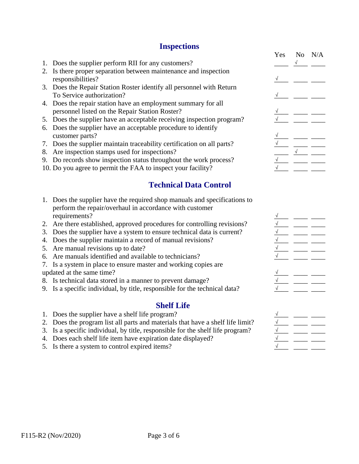### **Inspections**

- 1. Does the supplier perform RII for any customers?
- 2. Is there proper separation between maintenance and inspection responsibilities?
- 3. Does the Repair Station Roster identify all personnel with Return To Service authorization?
- 4. Does the repair station have an employment summary for all personnel listed on the Repair Station Roster? \_\_\_\_ \_\_\_\_ \_\_\_\_
- 5. Does the supplier have an acceptable receiving inspection program?
- 6. Does the supplier have an acceptable procedure to identify customer parts?
- 7. Does the supplier maintain traceability certification on all parts?
- 8. Are inspection stamps used for inspections?
- 9. Do records show inspection status throughout the work process?
- 10. Do you agree to permit the FAA to inspect your facility?

#### **Technical Data Control**

- 1. Does the supplier have the required shop manuals and specifications to perform the repair/overhaul in accordance with customer requirements?
- 2. Are there established, approved procedures for controlling revisions?
- 3. Does the supplier have a system to ensure technical data is current?
- 4. Does the supplier maintain a record of manual revisions?
- 5. Are manual revisions up to date?
- 6. Are manuals identified and available to technicians?
- 7. Is a system in place to ensure master and working copies are updated at the same time? \_\_\_\_ \_\_\_\_ \_\_\_\_
- 8. Is technical data stored in a manner to prevent damage?
- 9. Is a specific individual, by title, responsible for the technical data?

#### **Shelf Life**

- 1. Does the supplier have a shelf life program?
- 2. Does the program list all parts and materials that have a shelf life limit?
- 3. Is a specific individual, by title, responsible for the shelf life program?
- 4. Does each shelf life item have expiration date displayed?
- 5. Is there a system to control expired items?

| <b>Inspections</b>                                                     |     |     |     |
|------------------------------------------------------------------------|-----|-----|-----|
|                                                                        | Yes | No. | N/A |
| 1. Does the supplier perform RII for any customers?                    |     |     |     |
| 2. Is there proper separation between maintenance and inspection       |     |     |     |
| responsibilities?                                                      |     |     |     |
| 3. Does the Repair Station Roster identify all personnel with Return   |     |     |     |
| To Service authorization?                                              |     |     |     |
| 4. Does the repair station have an employment summary for all          |     |     |     |
| personnel listed on the Repair Station Roster?                         |     |     |     |
| 5. Does the supplier have an acceptable receiving inspection program?  |     |     |     |
| 6. Does the supplier have an acceptable procedure to identify          |     |     |     |
| customer parts?                                                        |     |     |     |
| 7. Does the supplier maintain traceability certification on all parts? |     |     |     |
| 8. Are inspection stamps used for inspections?                         |     |     |     |
| 9. Do records show inspection status throughout the work process?      |     |     |     |
| 10. Do you agree to permit the FAA to inspect your facility?           |     |     |     |

| . .                      | ____                                             |  |
|--------------------------|--------------------------------------------------|--|
|                          | ______                                           |  |
|                          | ______                                           |  |
|                          |                                                  |  |
|                          | — <del>— — —</del> —                             |  |
|                          | ______                                           |  |
|                          |                                                  |  |
| —                        | $\overline{\phantom{a}}$                         |  |
| $\overline{\phantom{0}}$ | — <del>— — —</del> —<br>$\overline{\phantom{a}}$ |  |
|                          |                                                  |  |
|                          |                                                  |  |

√ √ √ √ √ √

√ √ √

- √ √
- √
- √
	- √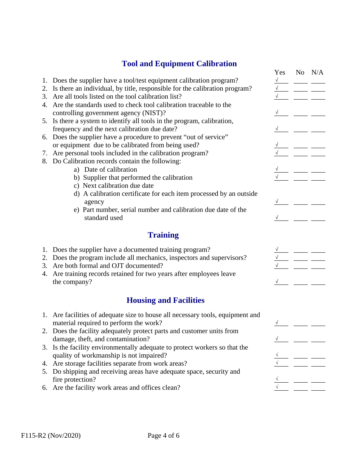## **Tool and Equipment Calibration**

|    |                                                                                | Yes                  | N <sub>o</sub> | N/A |
|----|--------------------------------------------------------------------------------|----------------------|----------------|-----|
|    | 1. Does the supplier have a tool/test equipment calibration program?           | $\sqrt{}$            |                |     |
|    | 2. Is there an individual, by title, responsible for the calibration program?  | $\sqrt{\phantom{a}}$ |                |     |
|    | 3. Are all tools listed on the tool calibration list?                          |                      |                |     |
| 4. | Are the standards used to check tool calibration traceable to the              |                      |                |     |
|    | controlling government agency (NIST)?                                          |                      |                |     |
|    | 5. Is there a system to identify all tools in the program, calibration,        |                      |                |     |
|    | frequency and the next calibration due date?                                   |                      |                |     |
| 6. | Does the supplier have a procedure to prevent "out of service"                 |                      |                |     |
|    | or equipment due to be calibrated from being used?                             |                      |                |     |
|    | 7. Are personal tools included in the calibration program?                     |                      |                |     |
|    | 8. Do Calibration records contain the following:                               |                      |                |     |
|    | a) Date of calibration                                                         |                      |                |     |
|    | b) Supplier that performed the calibration                                     |                      |                |     |
|    | c) Next calibration due date                                                   |                      |                |     |
|    | d) A calibration certificate for each item processed by an outside             |                      |                |     |
|    | agency                                                                         |                      |                |     |
|    | e) Part number, serial number and calibration due date of the                  |                      |                |     |
|    | standard used                                                                  |                      |                |     |
|    |                                                                                |                      |                |     |
|    | <b>Training</b>                                                                |                      |                |     |
|    | 1. Does the supplier have a documented training program?                       |                      |                |     |
|    | 2. Does the program include all mechanics, inspectors and supervisors?         |                      |                |     |
|    | 3. Are both formal and OJT documented?                                         |                      |                |     |
| 4. | Are training records retained for two years after employees leave              |                      |                |     |
|    | the company?                                                                   |                      |                |     |
|    |                                                                                |                      |                |     |
|    | <b>Housing and Facilities</b>                                                  |                      |                |     |
|    |                                                                                |                      |                |     |
|    | 1. Are facilities of adequate size to house all necessary tools, equipment and |                      |                |     |
|    | material required to perform the work?                                         |                      |                |     |
|    | 2. Does the facility adequately protect parts and customer units from          |                      |                |     |
|    | damage, theft, and contamination?                                              |                      |                |     |
|    | 3. Is the facility environmentally adequate to protect workers so that the     |                      |                |     |

√ √

√

- quality of workmanship is not impaired?  $\frac{1}{2}$  \_\_\_\_ \_\_\_\_ \_\_\_\_ \_\_\_\_
- 4. Are storage facilities separate from work areas?
- 5. Do shipping and receiving areas have adequate space, security and fire protection?  $\sqrt{2}$  and  $\sqrt{2}$  and  $\sqrt{2}$  and  $\sqrt{2}$  and  $\sqrt{2}$  and  $\sqrt{2}$  and  $\sqrt{2}$  and  $\sqrt{2}$  and  $\sqrt{2}$  and  $\sqrt{2}$  and  $\sqrt{2}$  and  $\sqrt{2}$  and  $\sqrt{2}$  and  $\sqrt{2}$  and  $\sqrt{2}$  and  $\sqrt{2}$  and  $\sqrt{2}$  and
- 6. Are the facility work areas and offices clean?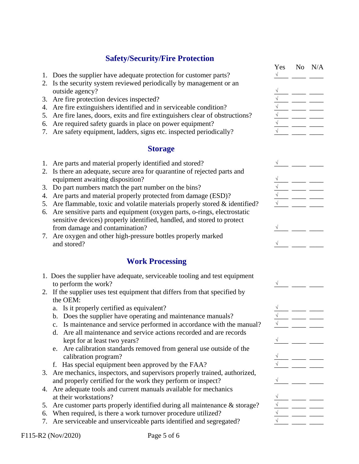# **Safety/Security/Fire Protection**

|    |                                                                                             | Yes | N <sub>o</sub> | N/A |
|----|---------------------------------------------------------------------------------------------|-----|----------------|-----|
|    | 1. Does the supplier have adequate protection for customer parts?                           | V   |                |     |
| 2. | Is the security system reviewed periodically by management or an                            |     |                |     |
|    | outside agency?                                                                             |     |                |     |
| 3. | Are fire protection devices inspected?                                                      |     |                |     |
| 4. | Are fire extinguishers identified and in serviceable condition?                             |     |                |     |
| 5. | Are fire lanes, doors, exits and fire extinguishers clear of obstructions?                  |     |                |     |
| 6. | Are required safety guards in place on power equipment?                                     |     |                |     |
|    | Are safety equipment, ladders, signs etc. inspected periodically?<br>7.                     |     |                |     |
|    |                                                                                             |     |                |     |
|    | <b>Storage</b>                                                                              |     |                |     |
|    | 1. Are parts and material properly identified and stored?                                   |     |                |     |
| 2. | Is there an adequate, secure area for quarantine of rejected parts and                      |     |                |     |
|    | equipment awaiting disposition?                                                             |     |                |     |
| 3. | Do part numbers match the part number on the bins?                                          |     |                |     |
| 4. | Are parts and material properly protected from damage (ESD)?                                |     |                |     |
| 5. | Are flammable, toxic and volatile materials properly stored & identified?                   |     |                |     |
| 6. | Are sensitive parts and equipment (oxygen parts, o-rings, electrostatic                     |     |                |     |
|    | sensitive devices) properly identified, handled, and stored to protect                      |     |                |     |
|    | from damage and contamination?                                                              |     |                |     |
| 7. | Are oxygen and other high-pressure bottles properly marked                                  |     |                |     |
|    | and stored?                                                                                 |     |                |     |
|    |                                                                                             |     |                |     |
|    | <b>Work Processing</b>                                                                      |     |                |     |
|    | 1. Does the supplier have adequate, serviceable tooling and test equipment                  |     |                |     |
|    | to perform the work?                                                                        |     |                |     |
| 2. | If the supplier uses test equipment that differs from that specified by                     |     |                |     |
|    | the OEM:                                                                                    |     |                |     |
|    | Is it properly certified as equivalent?<br>a.                                               |     |                |     |
|    | b. Does the supplier have operating and maintenance manuals?                                | V   |                |     |
|    | Is maintenance and service performed in accordance with the manual?<br>$\mathbf{c}$ .       |     |                |     |
|    | Are all maintenance and service actions recorded and are records<br>d.                      |     |                |     |
|    | kept for at least two years?                                                                |     |                |     |
|    | e. Are calibration standards removed from general use outside of the                        |     |                |     |
|    | calibration program?                                                                        |     |                |     |
|    | Has special equipment been approved by the FAA?<br>f.                                       |     |                |     |
| 3. | Are mechanics, inspectors, and supervisors properly trained, authorized,                    |     |                |     |
|    | and properly certified for the work they perform or inspect?                                |     |                |     |
|    |                                                                                             |     |                |     |
|    | 4. Are adequate tools and current manuals available for mechanics<br>at their workstations? |     |                |     |
|    |                                                                                             |     |                |     |
| 5. | Are customer parts properly identified during all maintenance & storage?                    |     |                |     |
| 6. | When required, is there a work turnover procedure utilized?                                 |     |                |     |
|    | Are serviceable and unserviceable parts identified and segregated?<br>7.                    |     |                |     |